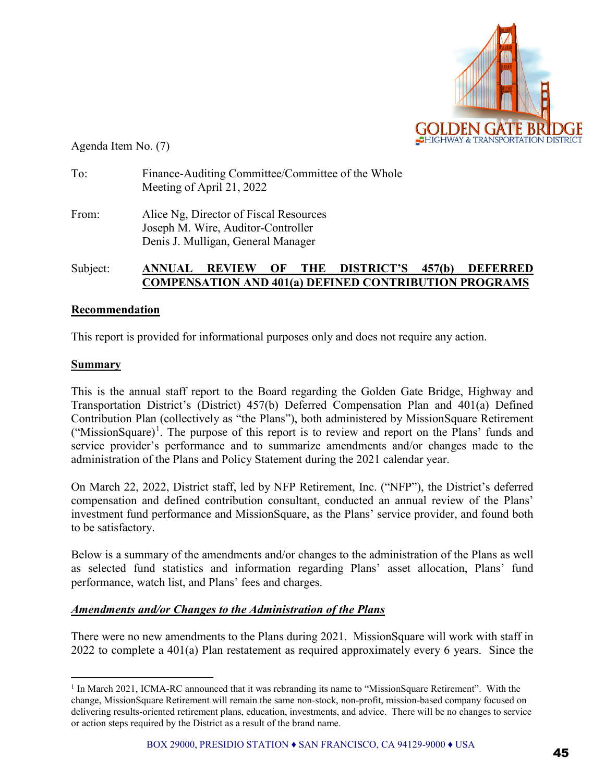

Agenda Item No. (7)

| To:   | Finance-Auditing Committee/Committee of the Whole<br>Meeting of April 21, 2022                                     |  |
|-------|--------------------------------------------------------------------------------------------------------------------|--|
| From: | Alice Ng, Director of Fiscal Resources<br>Joseph M. Wire, Auditor-Controller<br>Denis J. Mulligan, General Manager |  |

## Subject: **ANNUAL REVIEW OF THE DISTRICT'S 457(b) DEFERRED COMPENSATION AND 401(a) DEFINED CONTRIBUTION PROGRAMS**

#### **Recommendation**

This report is provided for informational purposes only and does not require any action.

#### **Summary**

This is the annual staff report to the Board regarding the Golden Gate Bridge, Highway and Transportation District's (District) 457(b) Deferred Compensation Plan and 401(a) Defined Contribution Plan (collectively as "the Plans"), both administered by MissionSquare Retirement ("MissionSquare)<sup>[1](#page-0-0)</sup>. The purpose of this report is to review and report on the Plans' funds and service provider's performance and to summarize amendments and/or changes made to the administration of the Plans and Policy Statement during the 2021 calendar year.

On March 22, 2022, District staff, led by NFP Retirement, Inc. ("NFP"), the District's deferred compensation and defined contribution consultant, conducted an annual review of the Plans' investment fund performance and MissionSquare, as the Plans' service provider, and found both to be satisfactory.

Below is a summary of the amendments and/or changes to the administration of the Plans as well as selected fund statistics and information regarding Plans' asset allocation, Plans' fund performance, watch list, and Plans' fees and charges.

#### *Amendments and/or Changes to the Administration of the Plans*

There were no new amendments to the Plans during 2021. MissionSquare will work with staff in 2022 to complete a 401(a) Plan restatement as required approximately every 6 years. Since the

<span id="page-0-0"></span><sup>&</sup>lt;sup>1</sup> In March 2021, ICMA-RC announced that it was rebranding its name to "MissionSquare Retirement". With the change, MissionSquare Retirement will remain the same non-stock, non-profit, mission-based company focused on delivering results-oriented retirement plans, education, investments, and advice. There will be no changes to service or action steps required by the District as a result of the brand name.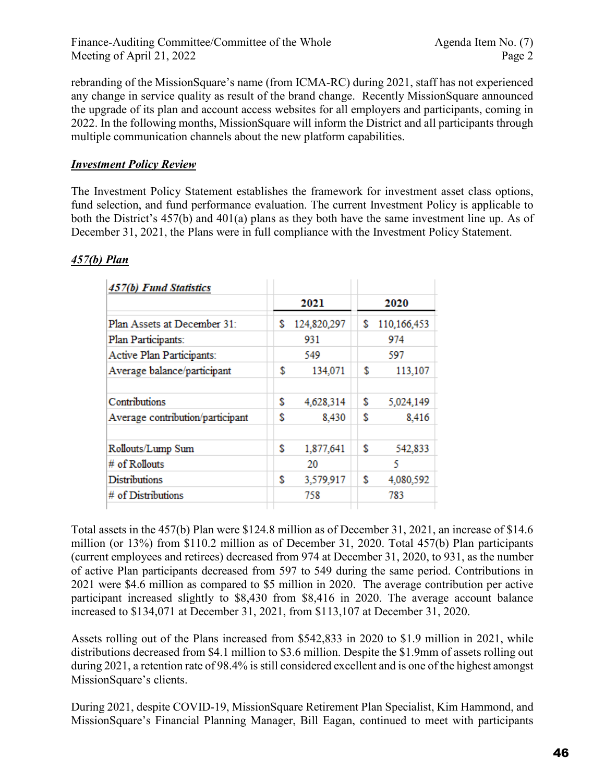rebranding of the MissionSquare's name (from ICMA-RC) during 2021, staff has not experienced any change in service quality as result of the brand change. Recently MissionSquare announced the upgrade of its plan and account access websites for all employers and participants, coming in 2022. In the following months, MissionSquare will inform the District and all participants through multiple communication channels about the new platform capabilities.

## *Investment Policy Review*

The Investment Policy Statement establishes the framework for investment asset class options, fund selection, and fund performance evaluation. The current Investment Policy is applicable to both the District's 457(b) and 401(a) plans as they both have the same investment line up. As of December 31, 2021, the Plans were in full compliance with the Investment Policy Statement.

| 457(b) Fund Statistics           |                   |    |             |
|----------------------------------|-------------------|----|-------------|
|                                  | 2021              |    | 2020        |
| Plan Assets at December 31:      | \$<br>124,820,297 | S  | 110,166,453 |
| Plan Participants:               | 931               |    | 974         |
| Active Plan Participants:        | 549               |    | 597         |
| Average balance/participant      | \$<br>134,071     | \$ | 113,107     |
| Contributions                    | \$<br>4,628,314   | \$ | 5,024,149   |
| Average contribution/participant | \$<br>8,430       | \$ | 8,416       |
| Rollouts/Lump Sum                | \$<br>1,877,641   | \$ | 542,833     |
| # of Rollouts                    | 20                |    | 5           |
| <b>Distributions</b>             | \$<br>3,579,917   | \$ | 4,080,592   |
| # of Distributions               | 758               |    | 783         |

## *457(b) Plan*

Total assets in the 457(b) Plan were \$124.8 million as of December 31, 2021, an increase of \$14.6 million (or 13%) from \$110.2 million as of December 31, 2020. Total 457(b) Plan participants (current employees and retirees) decreased from 974 at December 31, 2020, to 931, as the number of active Plan participants decreased from 597 to 549 during the same period. Contributions in 2021 were \$4.6 million as compared to \$5 million in 2020. The average contribution per active participant increased slightly to \$8,430 from \$8,416 in 2020. The average account balance increased to \$134,071 at December 31, 2021, from \$113,107 at December 31, 2020.

Assets rolling out of the Plans increased from \$542,833 in 2020 to \$1.9 million in 2021, while distributions decreased from \$4.1 million to \$3.6 million. Despite the \$1.9mm of assets rolling out during 2021, a retention rate of 98.4% is still considered excellent and is one of the highest amongst MissionSquare's clients.

During 2021, despite COVID-19, MissionSquare Retirement Plan Specialist, Kim Hammond, and MissionSquare's Financial Planning Manager, Bill Eagan, continued to meet with participants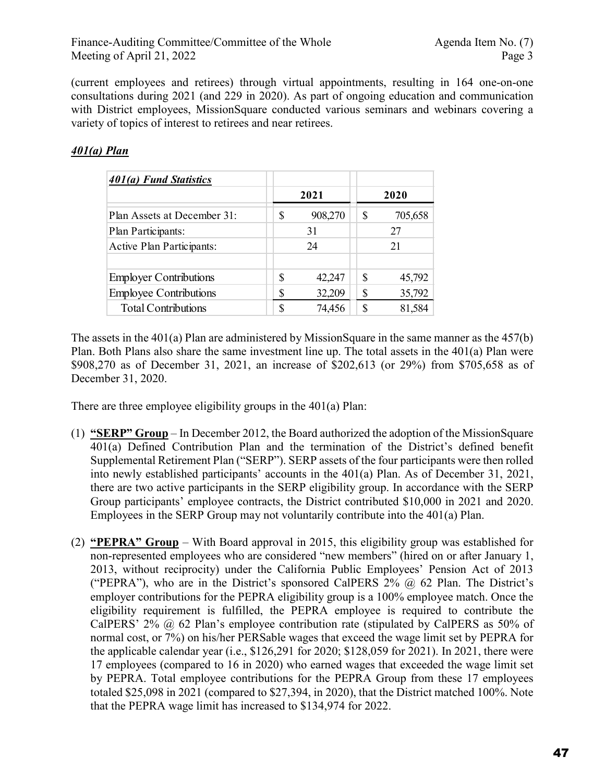(current employees and retirees) through virtual appointments, resulting in 164 one-on-one consultations during 2021 (and 229 in 2020). As part of ongoing education and communication with District employees, MissionSquare conducted various seminars and webinars covering a variety of topics of interest to retirees and near retirees.

## *401(a) Plan*

| 401(a) Fund Statistics        |          |         |    |         |  |
|-------------------------------|----------|---------|----|---------|--|
|                               |          | 2021    |    | 2020    |  |
| Plan Assets at December 31:   | \$       | 908,270 | S  | 705,658 |  |
| Plan Participants:            | 31<br>27 |         |    |         |  |
| Active Plan Participants:     |          | 24      | 21 |         |  |
|                               |          |         |    |         |  |
| <b>Employer Contributions</b> | \$       | 42,247  | S  | 45,792  |  |
| <b>Employee Contributions</b> | S        | 32,209  | \$ | 35,792  |  |
| <b>Total Contributions</b>    | S        | 74,456  | S  | 81,584  |  |

The assets in the 401(a) Plan are administered by MissionSquare in the same manner as the 457(b) Plan. Both Plans also share the same investment line up. The total assets in the 401(a) Plan were \$908,270 as of December 31, 2021, an increase of \$202,613 (or 29%) from \$705,658 as of December 31, 2020.

There are three employee eligibility groups in the 401(a) Plan:

- (1) **"SERP" Group** In December 2012, the Board authorized the adoption of the MissionSquare 401(a) Defined Contribution Plan and the termination of the District's defined benefit Supplemental Retirement Plan ("SERP"). SERP assets of the four participants were then rolled into newly established participants' accounts in the 401(a) Plan. As of December 31, 2021, there are two active participants in the SERP eligibility group. In accordance with the SERP Group participants' employee contracts, the District contributed \$10,000 in 2021 and 2020. Employees in the SERP Group may not voluntarily contribute into the 401(a) Plan.
- (2) **"PEPRA" Group** With Board approval in 2015, this eligibility group was established for non-represented employees who are considered "new members" (hired on or after January 1, 2013, without reciprocity) under the California Public Employees' Pension Act of 2013 ("PEPRA"), who are in the District's sponsored CalPERS  $2\%$   $\omega$  62 Plan. The District's employer contributions for the PEPRA eligibility group is a 100% employee match. Once the eligibility requirement is fulfilled, the PEPRA employee is required to contribute the CalPERS' 2% @ 62 Plan's employee contribution rate (stipulated by CalPERS as 50% of normal cost, or 7%) on his/her PERSable wages that exceed the wage limit set by PEPRA for the applicable calendar year (i.e., \$126,291 for 2020; \$128,059 for 2021). In 2021, there were 17 employees (compared to 16 in 2020) who earned wages that exceeded the wage limit set by PEPRA. Total employee contributions for the PEPRA Group from these 17 employees totaled \$25,098 in 2021 (compared to \$27,394, in 2020), that the District matched 100%. Note that the PEPRA wage limit has increased to \$134,974 for 2022.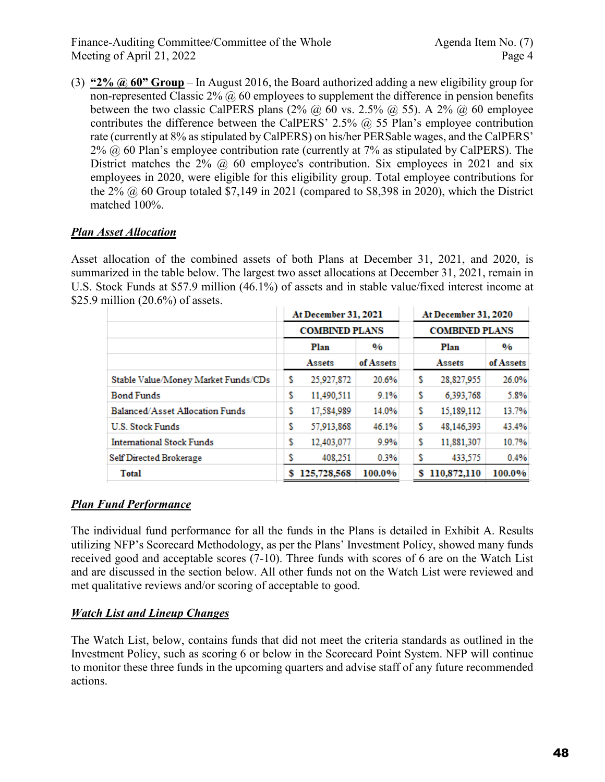Finance-Auditing Committee/Committee of the Whole Agenda Item No. (7) Meeting of April 21, 2022 Page 4

(3) **"2% @ 60" Group** – In August 2016, the Board authorized adding a new eligibility group for non-represented Classic  $2\%$  ( $\ddot{\omega}$  60 employees to supplement the difference in pension benefits between the two classic CalPERS plans (2%  $\omega$ ) 60 vs. 2.5%  $\omega$ , 55). A 2%  $\omega$ , 60 employee contributes the difference between the CalPERS' 2.5%  $\omega$  55 Plan's employee contribution rate (currently at 8% as stipulated by CalPERS) on his/her PERSable wages, and the CalPERS'  $2\%$   $\omega$  60 Plan's employee contribution rate (currently at 7% as stipulated by CalPERS). The District matches the  $2\%$  @ 60 employee's contribution. Six employees in 2021 and six employees in 2020, were eligible for this eligibility group. Total employee contributions for the  $2\%$   $\omega$  60 Group totaled \$7,149 in 2021 (compared to \$8,398 in 2020), which the District matched 100%.

## *Plan Asset Allocation*

Asset allocation of the combined assets of both Plans at December 31, 2021, and 2020, is summarized in the table below. The largest two asset allocations at December 31, 2021, remain in U.S. Stock Funds at \$57.9 million (46.1%) of assets and in stable value/fixed interest income at \$25.9 million (20.6%) of assets.

|                                     |   | <b>At December 31, 2021</b> |               |              | At December 31, 2020  |               |  |  |
|-------------------------------------|---|-----------------------------|---------------|--------------|-----------------------|---------------|--|--|
|                                     |   | <b>COMBINED PLANS</b>       |               |              | <b>COMBINED PLANS</b> |               |  |  |
|                                     |   | Plan                        | $\frac{0}{6}$ | Plan         |                       | $\frac{0}{6}$ |  |  |
|                                     |   | Assets                      | of Assets     |              | Assets                | of Assets     |  |  |
| Stable Value/Money Market Funds/CDs | s | 25,927,872                  | 20.6%         | s            | 28,827,955            | 26.0%         |  |  |
| <b>Bond Funds</b>                   | s | 11,490,511                  | 9.1%          | s            | 6,393,768             | 5.8%          |  |  |
| Balanced/Asset Allocation Funds     | s | 17,584,989                  | 14.0%         | s            | 15,189,112            | 13.7%         |  |  |
| <b>U.S. Stock Funds</b>             | s | 57,913,868                  | 46.1%         | \$           | 48,146,393            | 43.4%         |  |  |
| <b>International Stock Funds</b>    | s | 12,403,077                  | 9.9%          | s            | 11,881,307            | 10.7%         |  |  |
| <b>Self Directed Brokerage</b>      | s | 408.251                     | 0.3%          | s<br>433,575 |                       | 0.4%          |  |  |
| <b>Total</b>                        | s | 125,728,568                 | 100.0%        | s            | 110,872,110           | 100.0%        |  |  |

## *Plan Fund Performance*

The individual fund performance for all the funds in the Plans is detailed in Exhibit A. Results utilizing NFP's Scorecard Methodology, as per the Plans' Investment Policy, showed many funds received good and acceptable scores (7-10). Three funds with scores of 6 are on the Watch List and are discussed in the section below. All other funds not on the Watch List were reviewed and met qualitative reviews and/or scoring of acceptable to good.

## *Watch List and Lineup Changes*

The Watch List, below, contains funds that did not meet the criteria standards as outlined in the Investment Policy, such as scoring 6 or below in the Scorecard Point System. NFP will continue to monitor these three funds in the upcoming quarters and advise staff of any future recommended actions.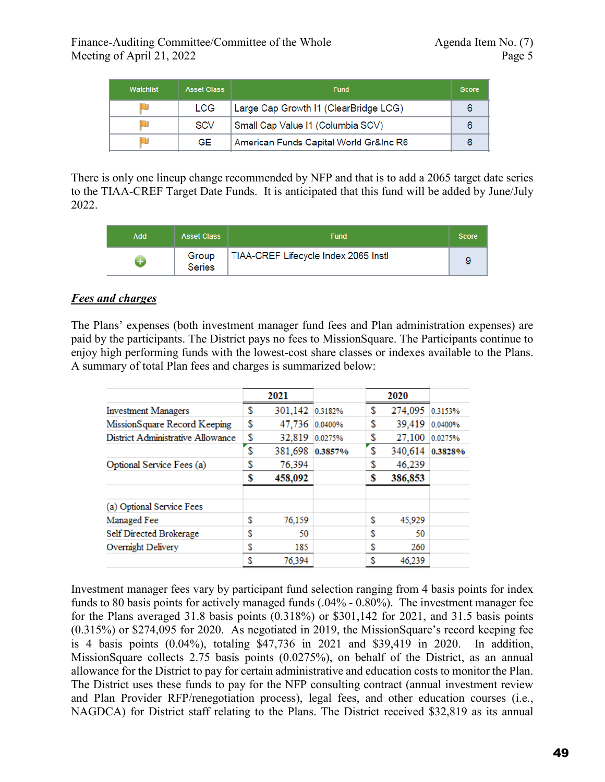| <b>Watchlist</b> | <b>Asset Class</b> | <b>Fund</b>                            | <b>Score</b> |
|------------------|--------------------|----------------------------------------|--------------|
|                  | <b>LCG</b>         | Large Cap Growth I1 (ClearBridge LCG)  |              |
|                  | <b>SCV</b>         | Small Cap Value I1 (Columbia SCV)      |              |
|                  | GE                 | American Funds Capital World Gr&Inc R6 |              |

There is only one lineup change recommended by NFP and that is to add a 2065 target date series to the TIAA-CREF Target Date Funds. It is anticipated that this fund will be added by June/July 2022.

| <b>Add</b> | <b>Asset Class</b>     | <b>Fund</b>                          | <b>Score</b> |
|------------|------------------------|--------------------------------------|--------------|
|            | Group<br><b>Series</b> | TIAA-CREF Lifecycle Index 2065 Instl |              |

## *Fees and charges*

The Plans' expenses (both investment manager fund fees and Plan administration expenses) are paid by the participants. The District pays no fees to MissionSquare. The Participants continue to enjoy high performing funds with the lowest-cost share classes or indexes available to the Plans. A summary of total Plan fees and charges is summarized below:

|                                   |    | 2021            |         |    | 2020    |         |
|-----------------------------------|----|-----------------|---------|----|---------|---------|
| <b>Investment Managers</b>        | S  | 301,142 0.3182% |         | S  | 274,095 | 0.3153% |
| MissionSquare Record Keeping      | S  | 47,736          | 0.0400% | S  | 39,419  | 0.0400% |
| District Administrative Allowance | S  | 32,819          | 0.0275% | S  | 27,100  | 0.0275% |
|                                   | S  | 381,698         | 0.3857% | S  | 340,614 | 0.3828% |
| Optional Service Fees (a)         | S  | 76,394          |         |    | 46,239  |         |
|                                   | S  | 458,092         |         | S  | 386,853 |         |
| (a) Optional Service Fees         |    |                 |         |    |         |         |
| Managed Fee                       | \$ | 76,159          |         | \$ | 45,929  |         |
| Self Directed Brokerage           | \$ | 50              |         | \$ | 50      |         |
| Overnight Delivery                | \$ | 185             |         | \$ | 260     |         |
|                                   | \$ | 76.394          |         | \$ | 46.239  |         |

Investment manager fees vary by participant fund selection ranging from 4 basis points for index funds to 80 basis points for actively managed funds (.04% - 0.80%). The investment manager fee for the Plans averaged 31.8 basis points (0.318%) or \$301,142 for 2021, and 31.5 basis points (0.315%) or \$274,095 for 2020. As negotiated in 2019, the MissionSquare's record keeping fee is 4 basis points (0.04%), totaling \$47,736 in 2021 and \$39,419 in 2020. In addition, MissionSquare collects 2.75 basis points (0.0275%), on behalf of the District, as an annual allowance for the District to pay for certain administrative and education costs to monitor the Plan. The District uses these funds to pay for the NFP consulting contract (annual investment review and Plan Provider RFP/renegotiation process), legal fees, and other education courses (i.e., NAGDCA) for District staff relating to the Plans. The District received \$32,819 as its annual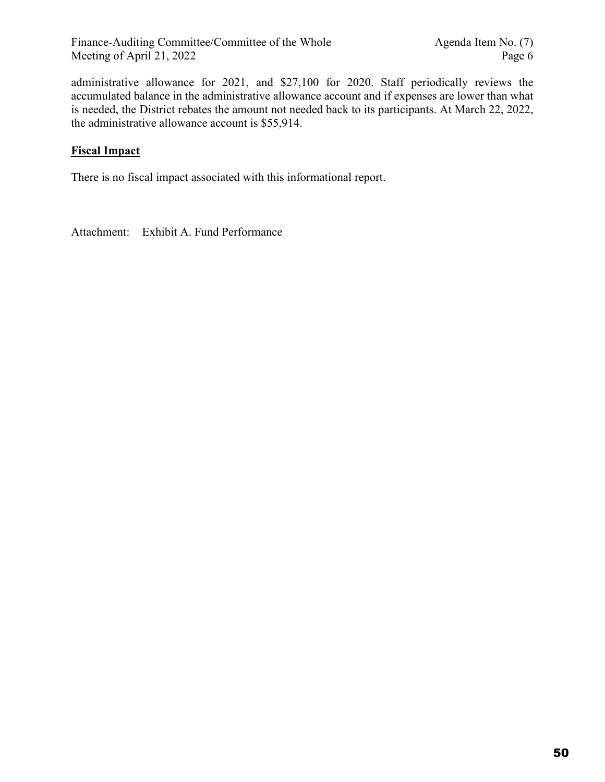administrative allowance for 2021, and \$27,100 for 2020. Staff periodically reviews the accumulated balance in the administrative allowance account and if expenses are lower than what is needed, the District rebates the amount not needed back to its participants. At March 22, 2022, the administrative allowance account is \$55,914.

## **Fiscal Impact**

There is no fiscal impact associated with this informational report.

Attachment: Exhibit A. Fund Performance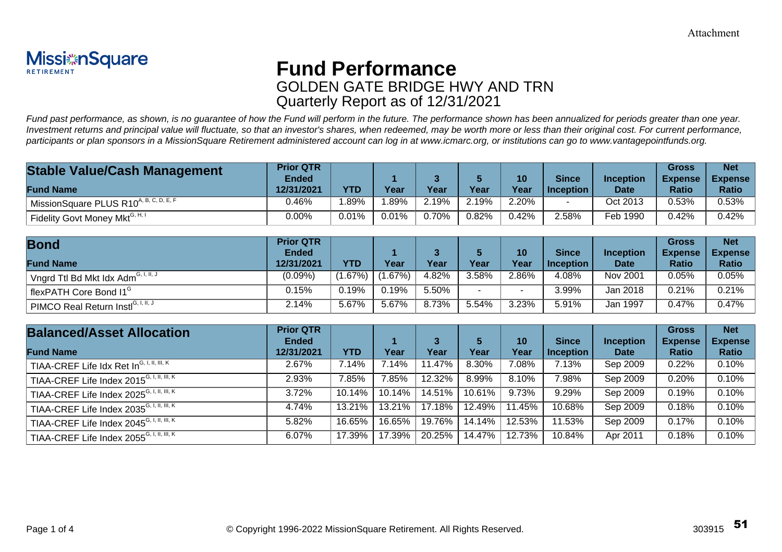

# **Fund Performance** GOLDEN GATE BRIDGE HWY AND TRN Quarterly Report as of 12/31/2021

Fund past performance, as shown, is no guarantee of how the Fund will perform in the future. The performance shown has been annualized for periods greater than one year. Investment returns and principal value will fluctuate, so that an investor's shares, when redeemed, may be worth more or less than their original cost. For current performance, participants or plan sponsors in a MissionSquare Retirement administered account can log in at www.icmarc.org, or institutions can go to www.vantagepointfunds.org.

| <b>Stable Value/Cash Management</b>                               | <b>Prior QTR</b> |       |       |       |       |       |              |                  | Gross          | <b>Net</b>     |
|-------------------------------------------------------------------|------------------|-------|-------|-------|-------|-------|--------------|------------------|----------------|----------------|
|                                                                   | Ended            |       |       |       |       | 10    | <b>Since</b> | <b>Inception</b> | <b>Expense</b> | <b>Expense</b> |
| <b>Fund Name</b>                                                  | 12/31/2021       | YTD   | Year  | Year  | Year  | Year  | l Inception  | <b>Date</b>      | <b>Ratio</b>   | <b>Ratio</b>   |
| $\frac{1}{2}$ Mission Square PLUS R10 <sup>A, B, C, D, E, F</sup> | 0.46%            | .89%  | .89%  | 2.19% | 2.19% | 2.20% |              | Oct 2013         | 0.53%          | 0.53%          |
| Fidelity Govt Money Mkt <sup>G, H, I</sup>                        | 0.00%            | 0.01% | 0.01% | 0.70% | 0.82% | 0.42% | 2.58%        | Feb 1990         | 0.42%          | 0.42%          |

| <b>Bond</b>                                       | <b>Prior QTR</b><br><b>Ended</b> |         |           |       |        | 10       | <b>Since</b> | <b>Inception</b> | <b>Gross</b><br><b>Expense</b> | <b>Net</b><br><b>Expense</b> |
|---------------------------------------------------|----------------------------------|---------|-----------|-------|--------|----------|--------------|------------------|--------------------------------|------------------------------|
| <b>Fund Name</b>                                  | 12/31/2021                       | YTD     | Year      | Year  | Year   | Year     | Inception    | <b>Date</b>      | <b>Ratio</b>                   | <b>Ratio</b>                 |
| ˈ Vngrd Ttl Bd Mkt Idx Adm <sup>G, I, II, J</sup> | $(0.09\%)$                       | $.67\%$ | $1.67\%)$ | 4.82% | 3.58%  | $2.86\%$ | 4.08%        | Nov 2001         | 0.05%                          | 0.05%                        |
| flexPATH Core Bond I1 <sup>6</sup>                | $0.15\%$                         | 0.19%   | 0.19%     | 5.50% | $\sim$ |          | 3.99%        | Jan 2018         | 0.21%                          | 0.21%                        |
| PIMCO Real Return Instl <sup>G, I, II, J</sup>    | 2.14%                            | 5.67%   | 5.67%     | 8.73% | 5.54%  | 3.23%    | 5.91%        | Jan 1997         | 0.47%                          | 0.47%                        |

| <b>Balanced/Asset Allocation</b>                                                            | <b>Prior QTR</b><br><b>Ended</b> |        |        |        |        | 10     | <b>Since</b>     | Inception   | <b>Gross</b><br><b>Expense</b> | <b>Net</b><br><b>Expense</b> |
|---------------------------------------------------------------------------------------------|----------------------------------|--------|--------|--------|--------|--------|------------------|-------------|--------------------------------|------------------------------|
| <b>Fund Name</b>                                                                            | 12/31/2021                       | YTD    | Year   | Year   | Year   | Year   | <b>Inception</b> | <b>Date</b> | Ratio                          | <b>Ratio</b>                 |
| $^\mathsf{I}$ TIAA-CREF Life ldx Ret In $^\mathsf{G, I, II, III, K}$                        | 2.67%                            | 7.14%  | 7.14%  | 11.47% | 8.30%  | 7.08%  | 7.13%            | Sep 2009    | 0.22%                          | 0.10%                        |
| TIAA-CREF Life Index $2015^{G, 1, 11, 111, K}$                                              | 2.93%                            | 7.85%  | 7.85%  | 12.32% | 8.99%  | 8.10%  | $7.98\%$         | Sep 2009    | 0.20%                          | 0.10%                        |
| TIAA-CREF Life Index 2025 <sup>G, I, II, <math>\overline{1\text{II}, \text{K}}</math></sup> | 3.72%                            | 10.14% | 10.14% | 14.51% | 10.61% | 9.73%  | 9.29%            | Sep 2009    | 0.19%                          | 0.10%                        |
| TIAA-CREF Life Index 2035 <sup>G, I, II, III, K</sup>                                       | 4.74%                            | 13.21% | 13.21% | 17.18% | 12.49% | 11.45% | 10.68%           | Sep 2009    | 0.18%                          | 0.10%                        |
| TIAA-CREF Life Index 2045 <sup>G, I, II, III, K</sup>                                       | 5.82%                            | 16.65% | 16.65% | 19.76% | 14.14% | 12.53% | 11.53%           | Sep 2009    | 0.17%                          | 0.10%                        |
| TIAA-CREF Life Index $2055^{G, 1, 11, \overline{111, K}}$                                   | 6.07%                            | 17.39% | 17.39% | 20.25% | 14.47% | 12.73% | 10.84%           | Apr 2011    | 0.18%                          | 0.10%                        |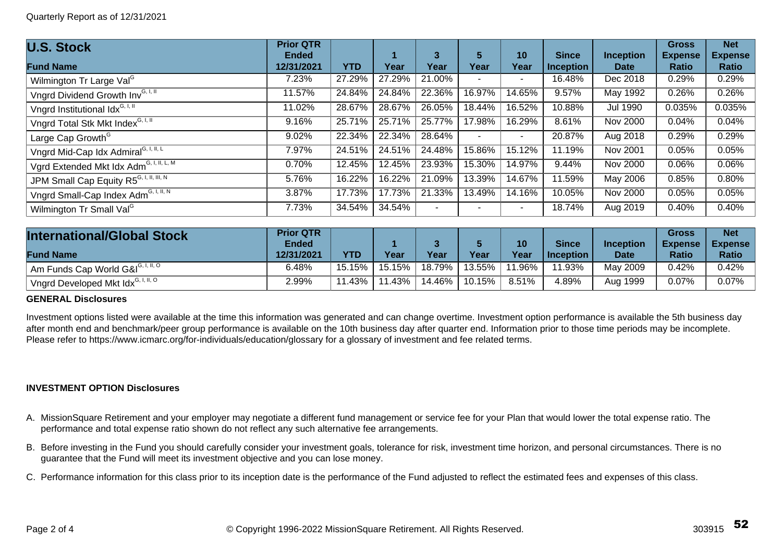| <b>U.S. Stock</b>                                   | <b>Prior QTR</b> |            |        |                |        |        |                  |                  | <b>Gross</b>   | <b>Net</b>     |
|-----------------------------------------------------|------------------|------------|--------|----------------|--------|--------|------------------|------------------|----------------|----------------|
|                                                     | <b>Ended</b>     |            |        | 3              | 5      | 10     | <b>Since</b>     | <b>Inception</b> | <b>Expense</b> | <b>Expense</b> |
| <b>Fund Name</b>                                    | 12/31/2021       | <b>YTD</b> | Year   | Year           | Year   | Year   | <b>Inception</b> | Date             | Ratio          | Ratio          |
| Wilmington Tr Large Val <sup>G</sup>                | 7.23%            | 27.29%     | 27.29% | 21.00%         | ٠      |        | 16.48%           | Dec 2018         | 0.29%          | 0.29%          |
| Vngrd Dividend Growth Inv <sup>G, I, II</sup>       | 11.57%           | 24.84%     | 24.84% | 22.36%         | 16.97% | 14.65% | 9.57%            | May 1992         | 0.26%          | 0.26%          |
| Vngrd Institutional Idx <sup>G, I, II</sup>         | 11.02%           | 28.67%     | 28.67% | 26.05%         | 18.44% | 16.52% | 10.88%           | <b>Jul 1990</b>  | 0.035%         | 0.035%         |
| Vngrd Total Stk Mkt Index <sup>G, I, II</sup>       | 9.16%            | 25.71%     | 25.71% | 25.77%         | 17.98% | 16.29% | 8.61%            | Nov 2000         | 0.04%          | 0.04%          |
| Large Cap Growth <sup>G</sup>                       | 9.02%            | 22.34%     | 22.34% | 28.64%         | $\sim$ |        | 20.87%           | Aug 2018         | 0.29%          | 0.29%          |
| Vngrd Mid-Cap Idx Admiral <sup>G, I, II, L</sup>    | 7.97%            | 24.51%     | 24.51% | 24.48%         | 15.86% | 15.12% | 11.19%           | Nov 2001         | 0.05%          | 0.05%          |
| Vgrd Extended Mkt Idx Adm <sup>G, I, II, L, M</sup> | 0.70%            | 12.45%     | 12.45% | 23.93%         | 15.30% | 14.97% | 9.44%            | <b>Nov 2000</b>  | 0.06%          | 0.06%          |
| JPM Small Cap Equity R5 <sup>G, I, II, III, N</sup> | 5.76%            | 16.22%     | 16.22% | 21.09%         | 13.39% | 14.67% | 11.59%           | May 2006         | 0.85%          | 0.80%          |
| Vngrd Small-Cap Index Adm <sup>G, I, II, N</sup>    | 3.87%            | 17.73%     | 17.73% | 21.33%         | 13.49% | 14.16% | 10.05%           | <b>Nov 2000</b>  | 0.05%          | 0.05%          |
| Wilmington Tr Small Val <sup>G</sup>                | 7.73%            | 34.54%     | 34.54% | $\blacksquare$ | ٠      |        | 18.74%           | Aug 2019         | 0.40%          | 0.40%          |

| <b>International/Global Stock</b>                           | <b>Prior QTR</b><br>Ended |            |         |        |        | 10      | <b>Since</b>     | <b>Inception</b> | <b>Gross</b><br><b>Expense</b> | <b>Net</b><br><b>Expense</b> |
|-------------------------------------------------------------|---------------------------|------------|---------|--------|--------|---------|------------------|------------------|--------------------------------|------------------------------|
| <b>Fund Name</b>                                            | 12/31/2021                | <b>YTD</b> | Year    | Year   | Year   | Year    | <b>Inception</b> | <b>Date</b>      | <b>Ratio</b>                   | <b>Ratio</b>                 |
| Am Funds Cap World G&I <sup>G, I, II, O</sup>               | 6.48%                     | 15.15%     | 15.15%  | 18.79% | 13.55% | $.96\%$ | .93%             | May 2009         | 0.42%                          | 0.42%                        |
| <sup>'</sup> Vngrd Developed Mkt Idx <sup>G, I, II, O</sup> | 2.99%                     | .43%       | $.43\%$ | 14.46% | 10.15% | 8.51%   | 4.89%            | Aug 1999         | 0.07%                          | $0.07\%$                     |

#### **GENERAL Disclosures**

Investment options listed were available at the time this information was generated and can change overtime. Investment option performance is available the 5th business day after month end and benchmark/peer group performance is available on the 10th business day after quarter end. Information prior to those time periods may be incomplete. Please refer to https://www.icmarc.org/for-individuals/education/glossary for a glossary of investment and fee related terms.

#### **INVESTMENT OPTION Disclosures**

- A. MissionSquare Retirement and your employer may negotiate a different fund management or service fee for your Plan that would lower the total expense ratio. The performance and total expense ratio shown do not reflect any such alternative fee arrangements.
- B. Before investing in the Fund you should carefully consider your investment goals, tolerance for risk, investment time horizon, and personal circumstances. There is no guarantee that the Fund will meet its investment objective and you can lose money.
- C. Performance information for this class prior to its inception date is the performance of the Fund adjusted to reflect the estimated fees and expenses of this class.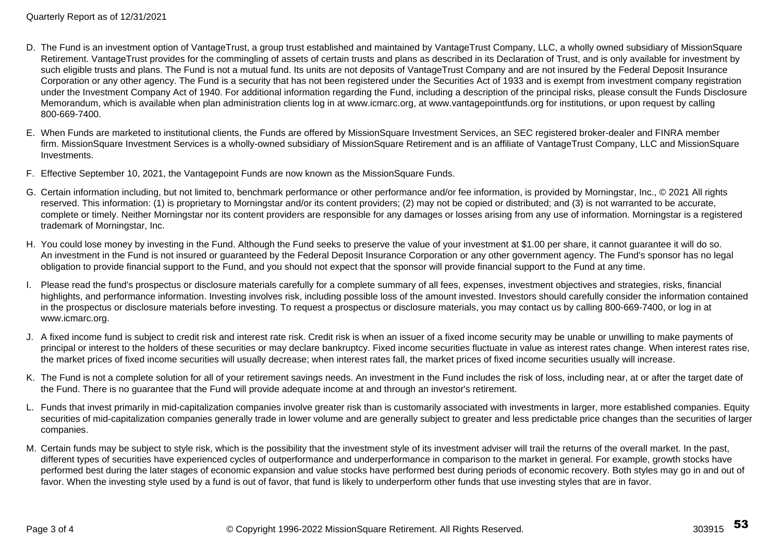- D. The Fund is an investment option of VantageTrust, a group trust established and maintained by VantageTrust Company, LLC, a wholly owned subsidiary of MissionSquare Retirement. VantageTrust provides for the commingling of assets of certain trusts and plans as described in its Declaration of Trust, and is only available for investment by such eligible trusts and plans. The Fund is not a mutual fund. Its units are not deposits of VantageTrust Company and are not insured by the Federal Deposit Insurance Corporation or any other agency. The Fund is a security that has not been registered under the Securities Act of 1933 and is exempt from investment company registration under the Investment Company Act of 1940. For additional information regarding the Fund, including a description of the principal risks, please consult the Funds Disclosure Memorandum, which is available when plan administration clients log in at www.icmarc.org, at www.vantagepointfunds.org for institutions, or upon request by calling 800-669-7400.
- E. When Funds are marketed to institutional clients, the Funds are offered by MissionSquare Investment Services, an SEC registered broker-dealer and FINRA member firm. MissionSquare Investment Services is a wholly-owned subsidiary of MissionSquare Retirement and is an affiliate of VantageTrust Company, LLC and MissionSquare Investments.
- F. Effective September 10, 2021, the Vantagepoint Funds are now known as the MissionSquare Funds.
- G. Certain information including, but not limited to, benchmark performance or other performance and/or fee information, is provided by Morningstar, Inc., © 2021 All rights reserved. This information: (1) is proprietary to Morningstar and/or its content providers; (2) may not be copied or distributed; and (3) is not warranted to be accurate, complete or timely. Neither Morningstar nor its content providers are responsible for any damages or losses arising from any use of information. Morningstar is a registered trademark of Morningstar, Inc.
- H. You could lose money by investing in the Fund. Although the Fund seeks to preserve the value of your investment at \$1.00 per share, it cannot guarantee it will do so. An investment in the Fund is not insured or guaranteed by the Federal Deposit Insurance Corporation or any other government agency. The Fund's sponsor has no legal obligation to provide financial support to the Fund, and you should not expect that the sponsor will provide financial support to the Fund at any time.
- I. Please read the fund's prospectus or disclosure materials carefully for a complete summary of all fees, expenses, investment objectives and strategies, risks, financial highlights, and performance information. Investing involves risk, including possible loss of the amount invested. Investors should carefully consider the information contained in the prospectus or disclosure materials before investing. To request a prospectus or disclosure materials, you may contact us by calling 800-669-7400, or log in at www.icmarc.org.
- J. A fixed income fund is subject to credit risk and interest rate risk. Credit risk is when an issuer of a fixed income security may be unable or unwilling to make payments of principal or interest to the holders of these securities or may declare bankruptcy. Fixed income securities fluctuate in value as interest rates change. When interest rates rise, the market prices of fixed income securities will usually decrease; when interest rates fall, the market prices of fixed income securities usually will increase.
- K. The Fund is not a complete solution for all of your retirement savings needs. An investment in the Fund includes the risk of loss, including near, at or after the target date of the Fund. There is no guarantee that the Fund will provide adequate income at and through an investor's retirement.
- L. Funds that invest primarily in mid-capitalization companies involve greater risk than is customarily associated with investments in larger, more established companies. Equity securities of mid-capitalization companies generally trade in lower volume and are generally subject to greater and less predictable price changes than the securities of larger companies.
- M. Certain funds may be subject to style risk, which is the possibility that the investment style of its investment adviser will trail the returns of the overall market. In the past, different types of securities have experienced cycles of outperformance and underperformance in comparison to the market in general. For example, growth stocks have performed best during the later stages of economic expansion and value stocks have performed best during periods of economic recovery. Both styles may go in and out of favor. When the investing style used by a fund is out of favor, that fund is likely to underperform other funds that use investing styles that are in favor.